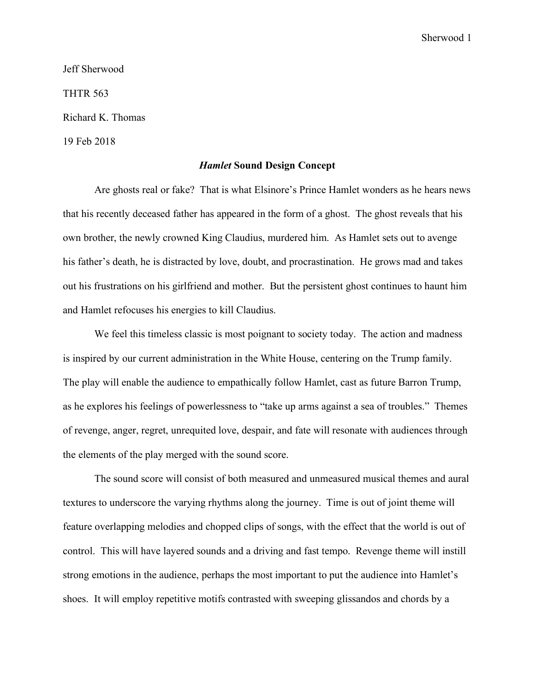Sherwood 1

Jeff Sherwood THTR 563 Richard K. Thomas 19 Feb 2018

## *Hamlet* **Sound Design Concept**

Are ghosts real or fake? That is what Elsinore's Prince Hamlet wonders as he hears news that his recently deceased father has appeared in the form of a ghost. The ghost reveals that his own brother, the newly crowned King Claudius, murdered him. As Hamlet sets out to avenge his father's death, he is distracted by love, doubt, and procrastination. He grows mad and takes out his frustrations on his girlfriend and mother. But the persistent ghost continues to haunt him and Hamlet refocuses his energies to kill Claudius.

We feel this timeless classic is most poignant to society today. The action and madness is inspired by our current administration in the White House, centering on the Trump family. The play will enable the audience to empathically follow Hamlet, cast as future Barron Trump, as he explores his feelings of powerlessness to "take up arms against a sea of troubles." Themes of revenge, anger, regret, unrequited love, despair, and fate will resonate with audiences through the elements of the play merged with the sound score.

The sound score will consist of both measured and unmeasured musical themes and aural textures to underscore the varying rhythms along the journey. Time is out of joint theme will feature overlapping melodies and chopped clips of songs, with the effect that the world is out of control. This will have layered sounds and a driving and fast tempo. Revenge theme will instill strong emotions in the audience, perhaps the most important to put the audience into Hamlet's shoes. It will employ repetitive motifs contrasted with sweeping glissandos and chords by a